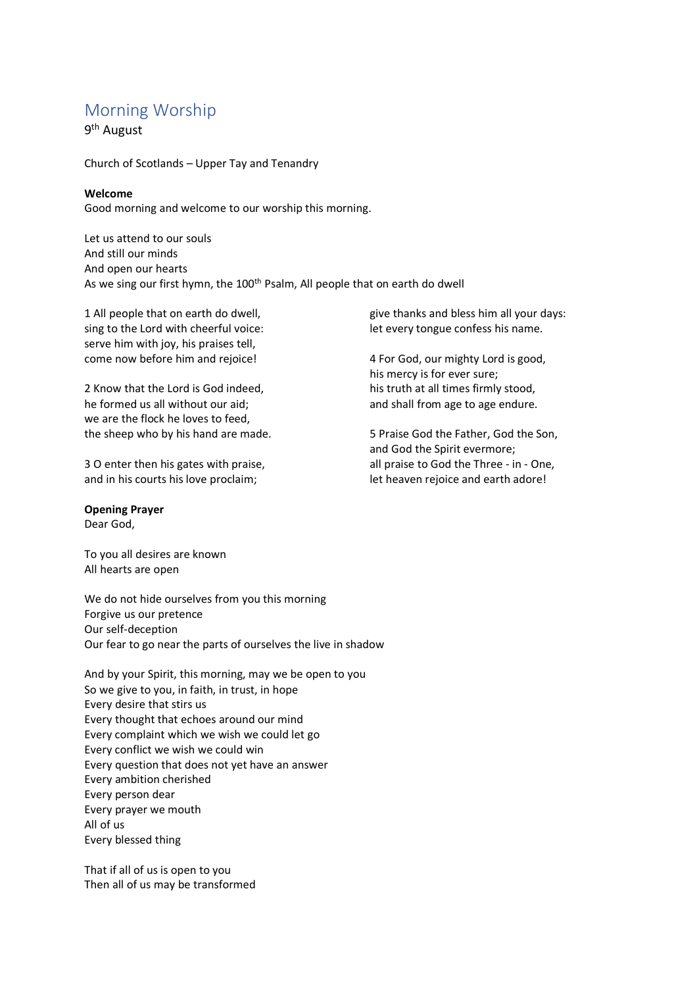# Morning Worship

9<sup>th</sup> August

Church of Scotlands – Upper Tay and Tenandry

## **Welcome**

Good morning and welcome to our worship this morning.

Let us attend to our souls And still our minds And open our hearts As we sing our first hymn, the 100<sup>th</sup> Psalm, All people that on earth do dwell

1 All people that on earth do dwell, sing to the Lord with cheerful voice: serve him with joy, his praises tell, come now before him and rejoice!

2 Know that the Lord is God indeed, he formed us all without our aid; we are the flock he loves to feed, the sheep who by his hand are made.

3 O enter then his gates with praise, and in his courts his love proclaim;

## **Opening Prayer**

Dear God,

To you all desires are known All hearts are open

We do not hide ourselves from you this morning Forgive us our pretence Our self-deception Our fear to go near the parts of ourselves the live in shadow

And by your Spirit, this morning, may we be open to you So we give to you, in faith, in trust, in hope Every desire that stirs us Every thought that echoes around our mind Every complaint which we wish we could let go Every conflict we wish we could win Every question that does not yet have an answer Every ambition cherished Every person dear Every prayer we mouth All of us Every blessed thing

That if all of us is open to you Then all of us may be transformed give thanks and bless him all your days: let every tongue confess his name.

4 For God, our mighty Lord is good, his mercy is for ever sure; his truth at all times firmly stood, and shall from age to age endure.

5 Praise God the Father, God the Son, and God the Spirit evermore; all praise to God the Three - in - One, let heaven rejoice and earth adore!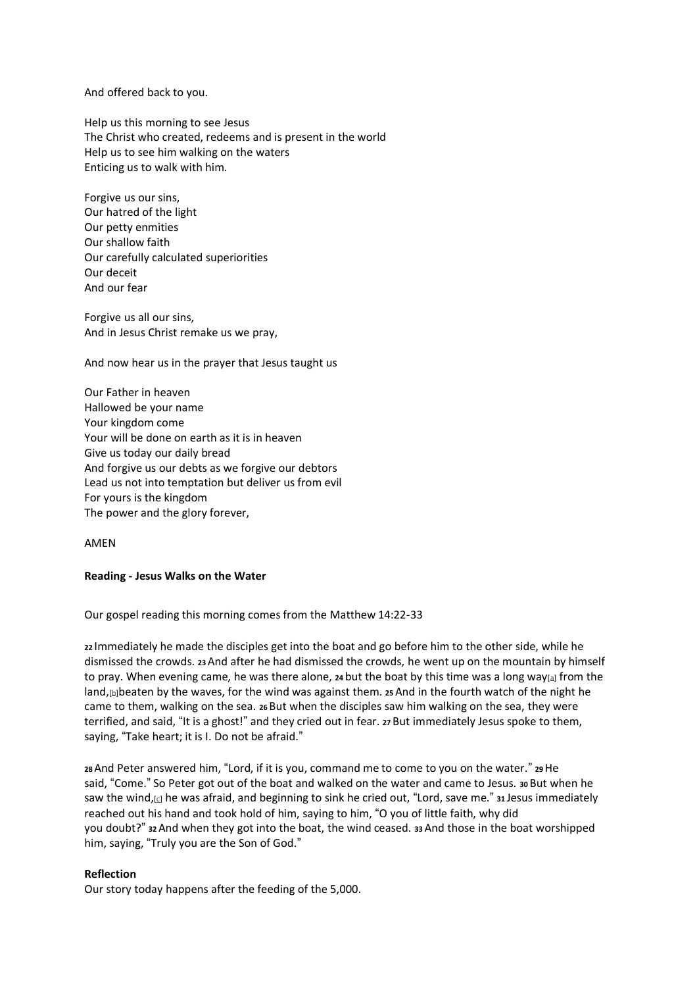And offered back to you.

Help us this morning to see Jesus The Christ who created, redeems and is present in the world Help us to see him walking on the waters Enticing us to walk with him.

Forgive us our sins, Our hatred of the light Our petty enmities Our shallow faith Our carefully calculated superiorities Our deceit And our fear

Forgive us all our sins, And in Jesus Christ remake us we pray,

And now hear us in the prayer that Jesus taught us

Our Father in heaven Hallowed be your name Your kingdom come Your will be done on earth as it is in heaven Give us today our daily bread And forgive us our debts as we forgive our debtors Lead us not into temptation but deliver us from evil For yours is the kingdom The power and the glory forever,

AMEN

#### **Reading - Jesus Walks on the Water**

Our gospel reading this morning comes from the Matthew 14:22-33

**<sup>22</sup>** Immediately he made the disciples get into the boat and go before him to the other side, while he dismissed the crowds. **<sup>23</sup>**And after he had dismissed the crowds, he went up on the mountain by himself to pray. When evening came, he was there alone, **<sup>24</sup>** but the boat by this time was a long way[\[a\]](https://www.biblegateway.com/passage/?search=Matthew+14%3A22-33&version=ESVUK&interface=print#fen-ESVUK-23621a) from the land, [\[b\]](https://www.biblegateway.com/passage/?search=Matthew+14%3A22-33&version=ESVUK&interface=print#fen-ESVUK-23621b)beaten by the waves, for the wind was against them. **25** And in the fourth watch of the night he came to them, walking on the sea. **<sup>26</sup>** But when the disciples saw him walking on the sea, they were terrified, and said, "It is a ghost!" and they cried out in fear. **<sup>27</sup>** But immediately Jesus spoke to them, saying, "Take heart; it is I. Do not be afraid."

**<sup>28</sup>**And Peter answered him, "Lord, if it is you, command me to come to you on the water." **<sup>29</sup>**He said, "Come." So Peter got out of the boat and walked on the water and came to Jesus. **<sup>30</sup>** But when he saw the wind,[\[c\]](https://www.biblegateway.com/passage/?search=Matthew+14%3A22-33&version=ESVUK&interface=print#fen-ESVUK-23627c) he was afraid, and beginning to sink he cried out, "Lord, save me." **<sup>31</sup>** Jesus immediately reached out his hand and took hold of him, saying to him, "O you of little faith, why did you doubt?" **<sup>32</sup>**And when they got into the boat, the wind ceased. **<sup>33</sup>**And those in the boat worshipped him, saying, "Truly you are the Son of God."

#### **Reflection**

Our story today happens after the feeding of the 5,000.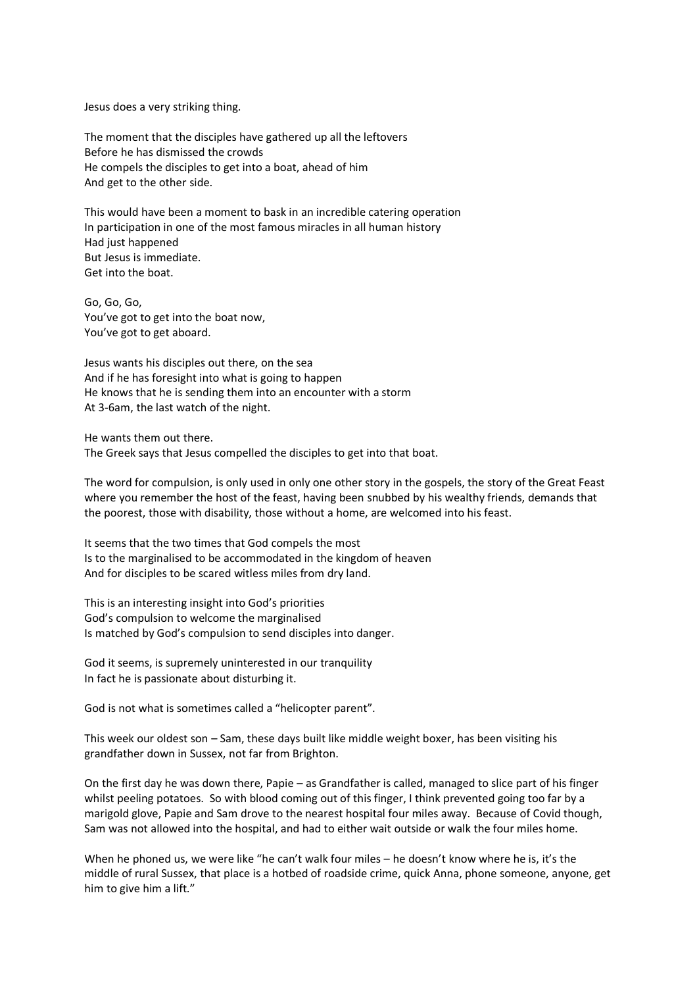Jesus does a very striking thing.

The moment that the disciples have gathered up all the leftovers Before he has dismissed the crowds He compels the disciples to get into a boat, ahead of him And get to the other side.

This would have been a moment to bask in an incredible catering operation In participation in one of the most famous miracles in all human history Had just happened But Jesus is immediate. Get into the boat.

Go, Go, Go, You've got to get into the boat now, You've got to get aboard.

Jesus wants his disciples out there, on the sea And if he has foresight into what is going to happen He knows that he is sending them into an encounter with a storm At 3-6am, the last watch of the night.

He wants them out there. The Greek says that Jesus compelled the disciples to get into that boat.

The word for compulsion, is only used in only one other story in the gospels, the story of the Great Feast where you remember the host of the feast, having been snubbed by his wealthy friends, demands that the poorest, those with disability, those without a home, are welcomed into his feast.

It seems that the two times that God compels the most Is to the marginalised to be accommodated in the kingdom of heaven And for disciples to be scared witless miles from dry land.

This is an interesting insight into God's priorities God's compulsion to welcome the marginalised Is matched by God's compulsion to send disciples into danger.

God it seems, is supremely uninterested in our tranquility In fact he is passionate about disturbing it.

God is not what is sometimes called a "helicopter parent".

This week our oldest son – Sam, these days built like middle weight boxer, has been visiting his grandfather down in Sussex, not far from Brighton.

On the first day he was down there, Papie – as Grandfather is called, managed to slice part of his finger whilst peeling potatoes. So with blood coming out of this finger, I think prevented going too far by a marigold glove, Papie and Sam drove to the nearest hospital four miles away. Because of Covid though, Sam was not allowed into the hospital, and had to either wait outside or walk the four miles home.

When he phoned us, we were like "he can't walk four miles – he doesn't know where he is, it's the middle of rural Sussex, that place is a hotbed of roadside crime, quick Anna, phone someone, anyone, get him to give him a lift."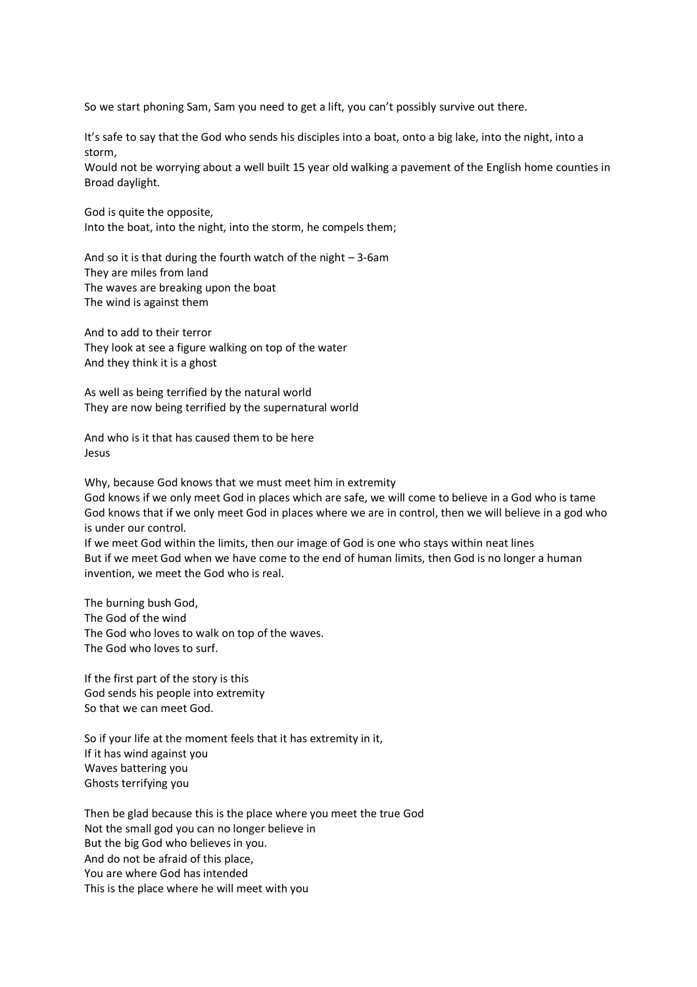So we start phoning Sam, Sam you need to get a lift, you can't possibly survive out there.

It's safe to say that the God who sends his disciples into a boat, onto a big lake, into the night, into a storm,

Would not be worrying about a well built 15 year old walking a pavement of the English home counties in Broad daylight.

God is quite the opposite, Into the boat, into the night, into the storm, he compels them;

And so it is that during the fourth watch of the night  $-3$ -6am They are miles from land The waves are breaking upon the boat The wind is against them

And to add to their terror They look at see a figure walking on top of the water And they think it is a ghost

As well as being terrified by the natural world They are now being terrified by the supernatural world

And who is it that has caused them to be here Jesus

Why, because God knows that we must meet him in extremity

God knows if we only meet God in places which are safe, we will come to believe in a God who is tame God knows that if we only meet God in places where we are in control, then we will believe in a god who is under our control.

If we meet God within the limits, then our image of God is one who stays within neat lines But if we meet God when we have come to the end of human limits, then God is no longer a human invention, we meet the God who is real.

The burning bush God, The God of the wind The God who loves to walk on top of the waves. The God who loves to surf.

If the first part of the story is this God sends his people into extremity So that we can meet God.

So if your life at the moment feels that it has extremity in it, If it has wind against you Waves battering you Ghosts terrifying you

Then be glad because this is the place where you meet the true God Not the small god you can no longer believe in But the big God who believes in you. And do not be afraid of this place, You are where God has intended This is the place where he will meet with you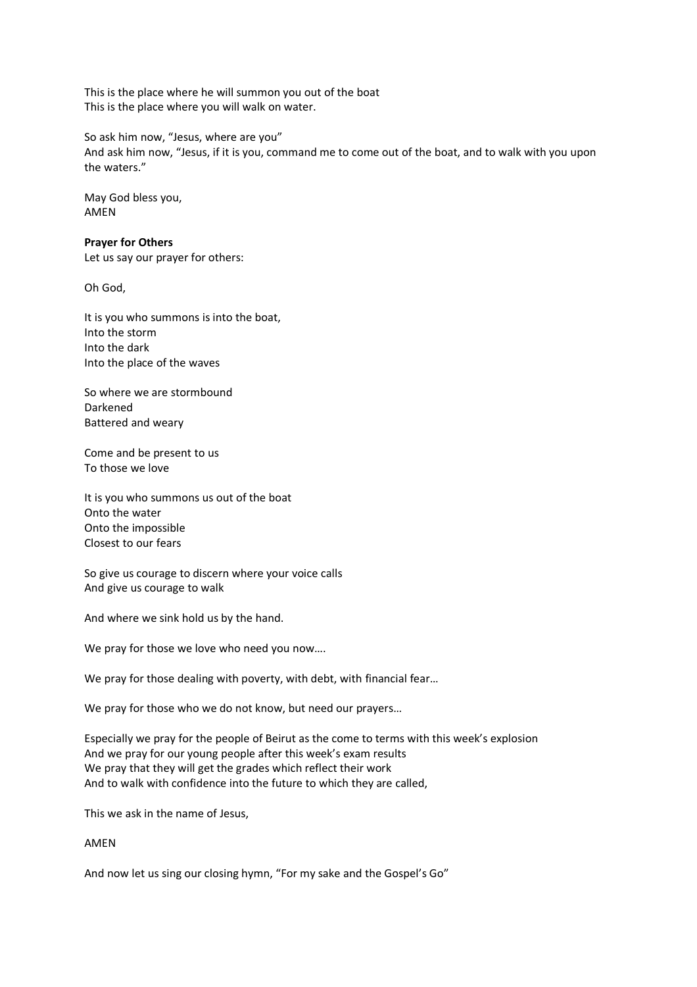This is the place where he will summon you out of the boat This is the place where you will walk on water.

So ask him now, "Jesus, where are you" And ask him now, "Jesus, if it is you, command me to come out of the boat, and to walk with you upon the waters."

May God bless you, AMEN

## **Prayer for Others**

Let us say our prayer for others:

Oh God,

It is you who summons is into the boat, Into the storm Into the dark Into the place of the waves

So where we are stormbound Darkened Battered and weary

Come and be present to us To those we love

It is you who summons us out of the boat Onto the water Onto the impossible Closest to our fears

So give us courage to discern where your voice calls And give us courage to walk

And where we sink hold us by the hand.

We pray for those we love who need you now....

We pray for those dealing with poverty, with debt, with financial fear...

We pray for those who we do not know, but need our prayers…

Especially we pray for the people of Beirut as the come to terms with this week's explosion And we pray for our young people after this week's exam results We pray that they will get the grades which reflect their work And to walk with confidence into the future to which they are called,

This we ask in the name of Jesus,

# AMEN

And now let us sing our closing hymn, "For my sake and the Gospel's Go"